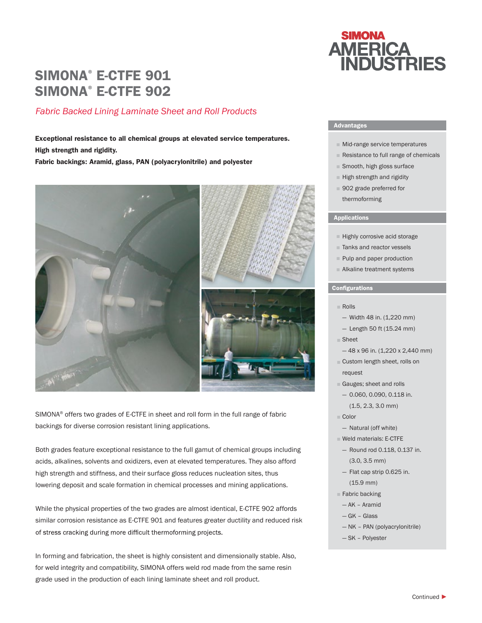# SIMONA® E-CTFE 901 SIMONA® E-CTFE 902

# *Fabric Backed Lining Laminate Sheet and Roll Products*

Exceptional resistance to all chemical groups at elevated service temperatures. High strength and rigidity.

Fabric backings: Aramid, glass, PAN (polyacrylonitrile) and polyester



SIMONA® offers two grades of E-CTFE in sheet and roll form in the full range of fabric backings for diverse corrosion resistant lining applications.

Both grades feature exceptional resistance to the full gamut of chemical groups including acids, alkalines, solvents and oxidizers, even at elevated temperatures. They also afford high strength and stiffness, and their surface gloss reduces nucleation sites, thus lowering deposit and scale formation in chemical processes and mining applications.

While the physical properties of the two grades are almost identical, E-CTFE 902 affords similar corrosion resistance as E-CTFE 901 and features greater ductility and reduced risk of stress cracking during more difficult thermoforming projects.

In forming and fabrication, the sheet is highly consistent and dimensionally stable. Also, for weld integrity and compatibility, SIMONA offers weld rod made from the same resin grade used in the production of each lining laminate sheet and roll product.



## Advantages

- Mid-range service temperatures
- Resistance to full range of chemicals
- Smooth, high gloss surface
- High strength and rigidity
- 902 grade preferred for thermoforming

### **Applications**

- Highly corrosive acid storage
- Tanks and reactor vessels
- Pulp and paper production
- Alkaline treatment systems

## **Configurations**

- Rolls
	- $-$  Width 48 in. (1,220 mm)
	- Length 50 ft (15.24 mm)
- Sheet
	- 48 x 96 in. (1,220 x 2,440 mm)
- Custom length sheet, rolls on request
- Gauges; sheet and rolls ■
- 0.060, 0.090, 0.118 in. (1.5, 2.3, 3.0 mm)
- Color
	- Natural (off white)
- Weld materials: E-CTFE ■
- Round rod 0.118, 0.137 in. (3.0, 3.5 mm)
- Flat cap strip 0.625 in. (15.9 mm)
- Fabric backing
- AK Aramid
- GK Glass
- NK PAN (polyacrylonitrile)
- SK Polyester